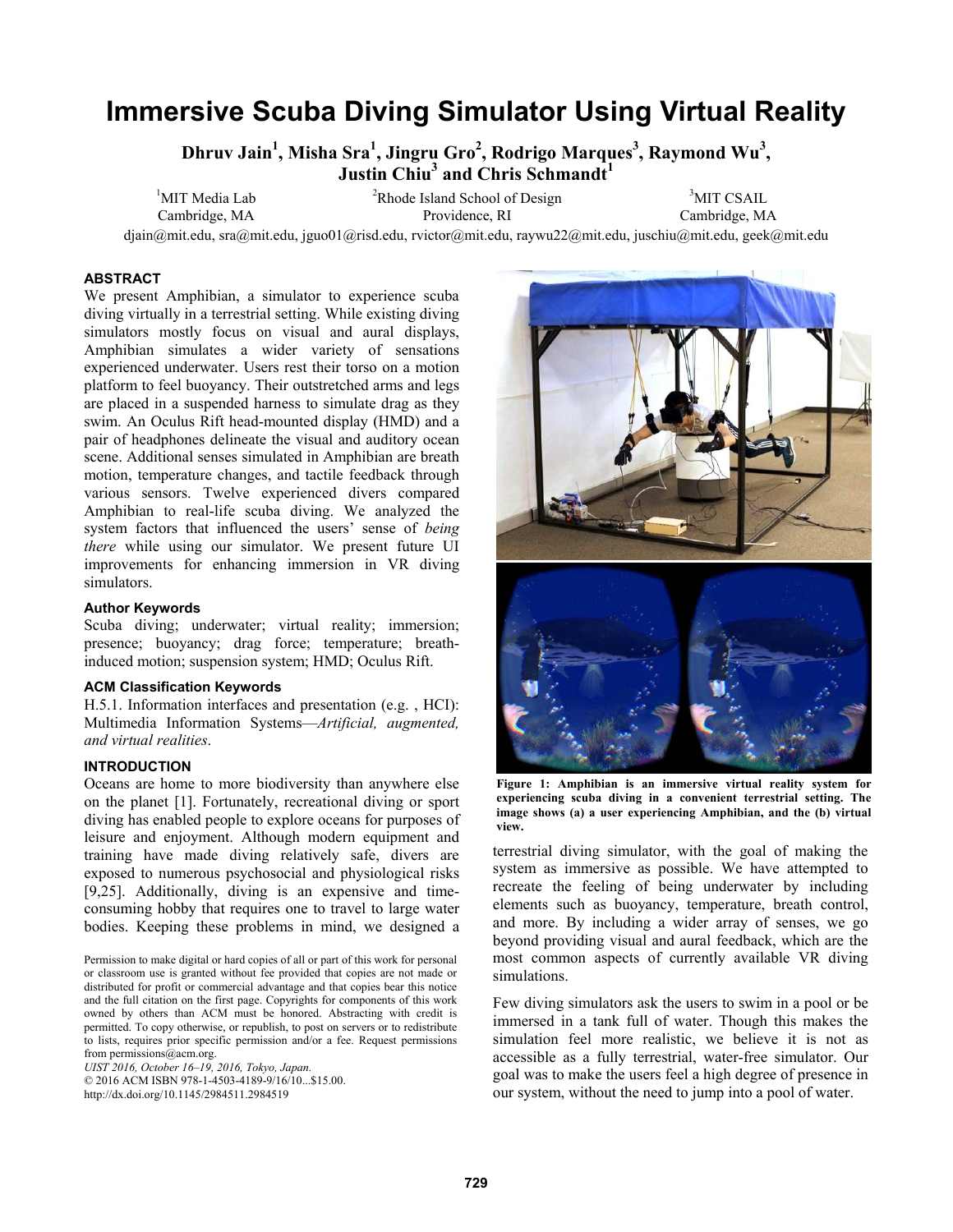# **Immersive Scuba Diving Simulator Using Virtual Reality**

**Dhruv Jain1 , Misha Sra<sup>1</sup> , Jingru Gro2 , Rodrigo Marques<sup>3</sup> , Raymond Wu3 , Justin Chiu<sup>3</sup> and Chris Schmandt<sup>1</sup>**

<sup>1</sup>MIT Media Lab Cambridge, MA

<sup>2</sup>Rhode Island School of Design Providence, RI

<sup>3</sup>MIT CSAIL Cambridge, MA

djain@mit.edu, sra@mit.edu, jguo01@risd.edu, rvictor@mit.edu, raywu22@mit.edu, juschiu@mit.edu, geek@mit.edu

# **ABSTRACT**

We present Amphibian, a simulator to experience scuba diving virtually in a terrestrial setting. While existing diving simulators mostly focus on visual and aural displays, Amphibian simulates a wider variety of sensations experienced underwater. Users rest their torso on a motion platform to feel buoyancy. Their outstretched arms and legs are placed in a suspended harness to simulate drag as they swim. An Oculus Rift head-mounted display (HMD) and a pair of headphones delineate the visual and auditory ocean scene. Additional senses simulated in Amphibian are breath motion, temperature changes, and tactile feedback through various sensors. Twelve experienced divers compared Amphibian to real-life scuba diving. We analyzed the system factors that influenced the users' sense of *being there* while using our simulator. We present future UI improvements for enhancing immersion in VR diving simulators.

# **Author Keywords**

Scuba diving; underwater; virtual reality; immersion; presence; buoyancy; drag force; temperature; breathinduced motion; suspension system; HMD; Oculus Rift.

# **ACM Classification Keywords**

H.5.1. Information interfaces and presentation (e.g. , HCI): Multimedia Information Systems—*Artificial, augmented, and virtual realities*.

# **INTRODUCTION**

Oceans are home to more biodiversity than anywhere else on the planet [1]. Fortunately, recreational diving or sport diving has enabled people to explore oceans for purposes of leisure and enjoyment. Although modern equipment and training have made diving relatively safe, divers are exposed to numerous psychosocial and physiological risks [9,25]. Additionally, diving is an expensive and timeconsuming hobby that requires one to travel to large water bodies. Keeping these problems in mind, we designed a

Permission to make digital or hard copies of all or part of this work for personal or classroom use is granted without fee provided that copies are not made or distributed for profit or commercial advantage and that copies bear this notice and the full citation on the first page. Copyrights for components of this work owned by others than ACM must be honored. Abstracting with credit is permitted. To copy otherwise, or republish, to post on servers or to redistribute to lists, requires prior specific permission and/or a fee. Request permissions from permissions@acm.org.

*UIST 2016, October 16–19, 2016, Tokyo, Japan.* 

© 2016 ACM ISBN 978-1-4503-4189-9/16/10...\$15.00.

http://dx.doi.org/10.1145/2984511.2984519



**Figure 1: Amphibian is an immersive virtual reality system for experiencing scuba diving in a convenient terrestrial setting. The image shows (a) a user experiencing Amphibian, and the (b) virtual view.** 

terrestrial diving simulator, with the goal of making the system as immersive as possible. We have attempted to recreate the feeling of being underwater by including elements such as buoyancy, temperature, breath control, and more. By including a wider array of senses, we go beyond providing visual and aural feedback, which are the most common aspects of currently available VR diving simulations.

Few diving simulators ask the users to swim in a pool or be immersed in a tank full of water. Though this makes the simulation feel more realistic, we believe it is not as accessible as a fully terrestrial, water-free simulator. Our goal was to make the users feel a high degree of presence in our system, without the need to jump into a pool of water.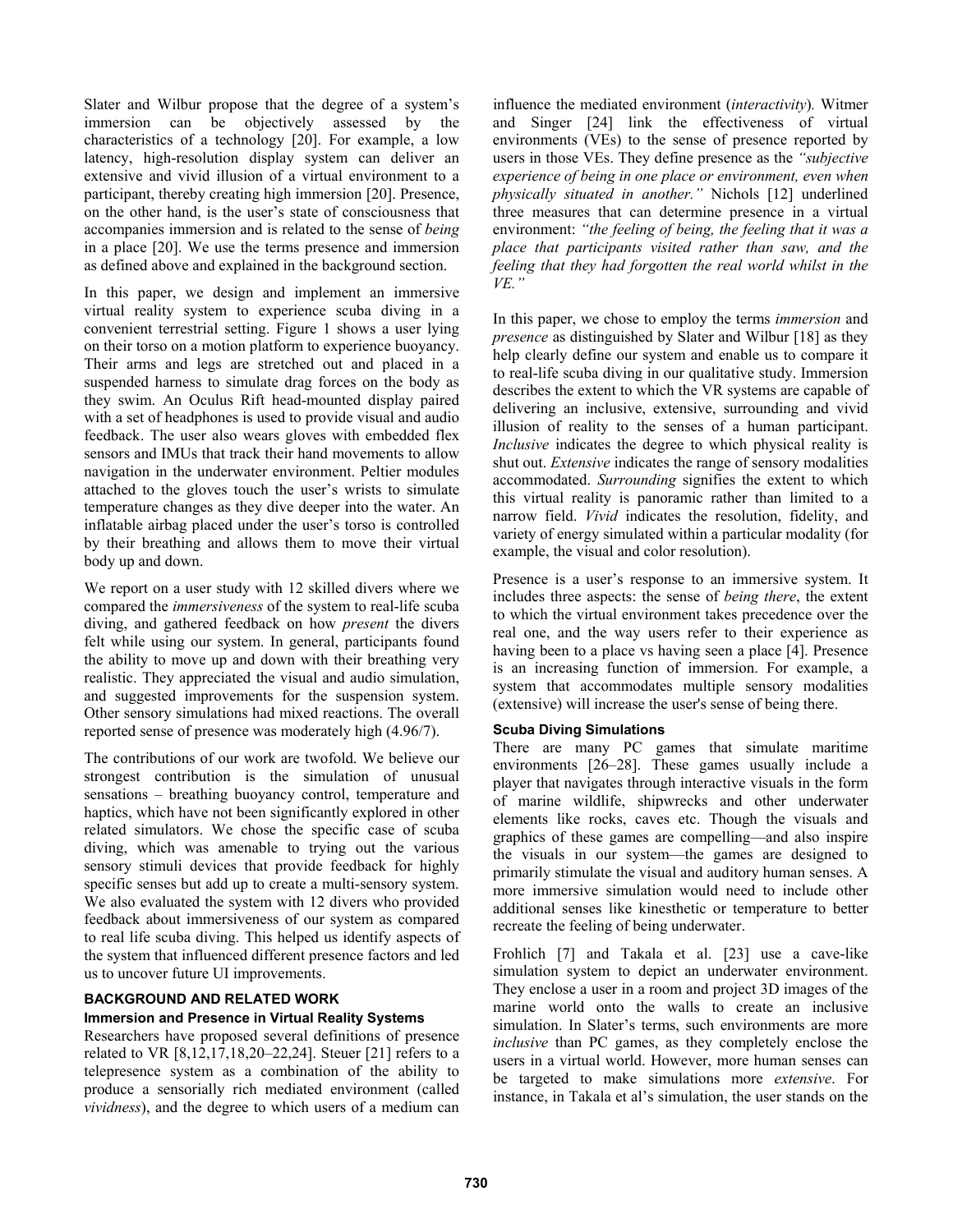Slater and Wilbur propose that the degree of a system's immersion can be objectively assessed by the characteristics of a technology  $[20]$ . For example, a low latency, high-resolution display system can deliver an extensive and vivid illusion of a virtual environment to a participant, thereby creating high immersion [20]. Presence, on the other hand, is the user's state of consciousness that accompanies immersion and is related to the sense of *being* in a place [20]. We use the terms presence and immersion as defined above and explained in the background section.

In this paper, we design and implement an immersive virtual reality system to experience scuba diving in a convenient terrestrial setting. Figure 1 shows a user lying on their torso on a motion platform to experience buoyancy. Their arms and legs are stretched out and placed in a suspended harness to simulate drag forces on the body as they swim. An Oculus Rift head-mounted display paired with a set of headphones is used to provide visual and audio feedback. The user also wears gloves with embedded flex sensors and IMUs that track their hand movements to allow navigation in the underwater environment. Peltier modules attached to the gloves touch the user's wrists to simulate temperature changes as they dive deeper into the water. An inflatable airbag placed under the user's torso is controlled by their breathing and allows them to move their virtual body up and down.

We report on a user study with 12 skilled divers where we compared the *immersiveness* of the system to real-life scuba diving, and gathered feedback on how *present* the divers felt while using our system. In general, participants found the ability to move up and down with their breathing very realistic. They appreciated the visual and audio simulation, and suggested improvements for the suspension system. Other sensory simulations had mixed reactions. The overall reported sense of presence was moderately high (4.96/7).

The contributions of our work are twofold. We believe our strongest contribution is the simulation of unusual sensations – breathing buoyancy control, temperature and haptics, which have not been significantly explored in other related simulators. We chose the specific case of scuba diving, which was amenable to trying out the various sensory stimuli devices that provide feedback for highly specific senses but add up to create a multi-sensory system. We also evaluated the system with 12 divers who provided feedback about immersiveness of our system as compared to real life scuba diving. This helped us identify aspects of the system that influenced different presence factors and led us to uncover future UI improvements.

# **BACKGROUND AND RELATED WORK**

# **Immersion and Presence in Virtual Reality Systems**

Researchers have proposed several definitions of presence related to VR [8,12,17,18,20–22,24]. Steuer [21] refers to a telepresence system as a combination of the ability to produce a sensorially rich mediated environment (called *vividness*), and the degree to which users of a medium can influence the mediated environment (*interactivity*)*.* Witmer and Singer [24] link the effectiveness of virtual environments (VEs) to the sense of presence reported by users in those VEs. They define presence as the *"subjective experience of being in one place or environment, even when physically situated in another."* Nichols [12] underlined three measures that can determine presence in a virtual environment: *"the feeling of being, the feeling that it was a place that participants visited rather than saw, and the feeling that they had forgotten the real world whilst in the VE."* 

In this paper, we chose to employ the terms *immersion* and *presence* as distinguished by Slater and Wilbur [18] as they help clearly define our system and enable us to compare it to real-life scuba diving in our qualitative study. Immersion describes the extent to which the VR systems are capable of delivering an inclusive, extensive, surrounding and vivid illusion of reality to the senses of a human participant. *Inclusive* indicates the degree to which physical reality is shut out. *Extensive* indicates the range of sensory modalities accommodated. *Surrounding* signifies the extent to which this virtual reality is panoramic rather than limited to a narrow field. *Vivid* indicates the resolution, fidelity, and variety of energy simulated within a particular modality (for example, the visual and color resolution).

Presence is a user's response to an immersive system. It includes three aspects: the sense of *being there*, the extent to which the virtual environment takes precedence over the real one, and the way users refer to their experience as having been to a place vs having seen a place [4]. Presence is an increasing function of immersion. For example, a system that accommodates multiple sensory modalities (extensive) will increase the user's sense of being there.

# **Scuba Diving Simulations**

There are many PC games that simulate maritime environments [26–28]. These games usually include a player that navigates through interactive visuals in the form of marine wildlife, shipwrecks and other underwater elements like rocks, caves etc. Though the visuals and graphics of these games are compelling—and also inspire the visuals in our system—the games are designed to primarily stimulate the visual and auditory human senses. A more immersive simulation would need to include other additional senses like kinesthetic or temperature to better recreate the feeling of being underwater.

Frohlich [7] and Takala et al. [23] use a cave-like simulation system to depict an underwater environment. They enclose a user in a room and project 3D images of the marine world onto the walls to create an inclusive simulation. In Slater's terms, such environments are more *inclusive* than PC games, as they completely enclose the users in a virtual world. However, more human senses can be targeted to make simulations more *extensive*. For instance, in Takala et al's simulation, the user stands on the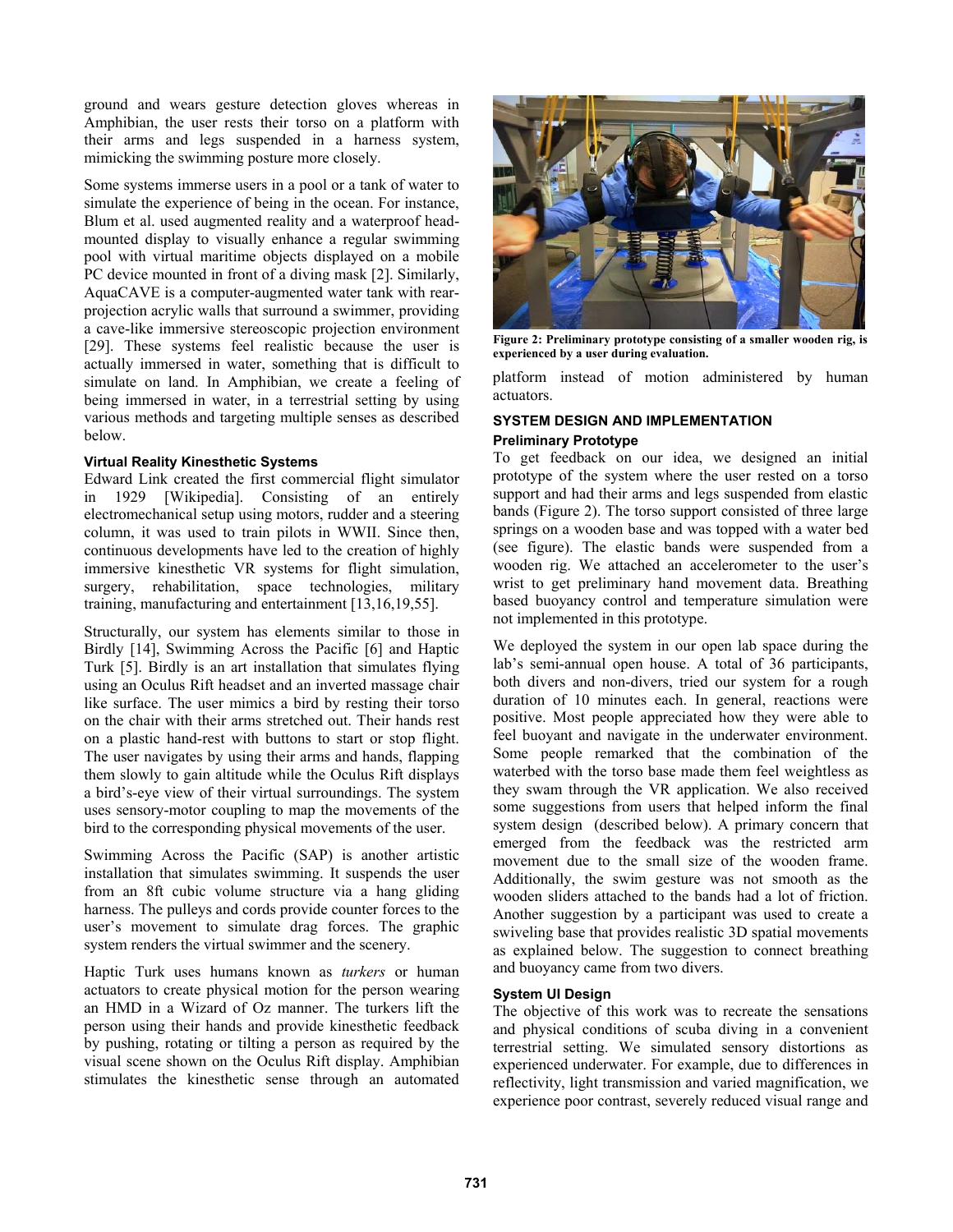ground and wears gesture detection gloves whereas in Amphibian, the user rests their torso on a platform with their arms and legs suspended in a harness system, mimicking the swimming posture more closely.

Some systems immerse users in a pool or a tank of water to simulate the experience of being in the ocean. For instance, Blum et al. used augmented reality and a waterproof headmounted display to visually enhance a regular swimming pool with virtual maritime objects displayed on a mobile PC device mounted in front of a diving mask [2]. Similarly, AquaCAVE is a computer-augmented water tank with rearprojection acrylic walls that surround a swimmer, providing a cave-like immersive stereoscopic projection environment [29]. These systems feel realistic because the user is actually immersed in water, something that is difficult to simulate on land. In Amphibian, we create a feeling of being immersed in water, in a terrestrial setting by using various methods and targeting multiple senses as described below.

# **Virtual Reality Kinesthetic Systems**

Edward Link created the first commercial flight simulator in 1929 [Wikipedia]. Consisting of an entirely electromechanical setup using motors, rudder and a steering column, it was used to train pilots in WWII. Since then, continuous developments have led to the creation of highly immersive kinesthetic VR systems for flight simulation, surgery, rehabilitation, space technologies, military training, manufacturing and entertainment [13,16,19,55].

Structurally, our system has elements similar to those in Birdly [14], Swimming Across the Pacific [6] and Haptic Turk [5]. Birdly is an art installation that simulates flying using an Oculus Rift headset and an inverted massage chair like surface. The user mimics a bird by resting their torso on the chair with their arms stretched out. Their hands rest on a plastic hand-rest with buttons to start or stop flight. The user navigates by using their arms and hands, flapping them slowly to gain altitude while the Oculus Rift displays a bird's-eye view of their virtual surroundings. The system uses sensory-motor coupling to map the movements of the bird to the corresponding physical movements of the user.

Swimming Across the Pacific (SAP) is another artistic installation that simulates swimming. It suspends the user from an 8ft cubic volume structure via a hang gliding harness. The pulleys and cords provide counter forces to the user's movement to simulate drag forces. The graphic system renders the virtual swimmer and the scenery.

Haptic Turk uses humans known as *turkers* or human actuators to create physical motion for the person wearing an HMD in a Wizard of Oz manner. The turkers lift the person using their hands and provide kinesthetic feedback by pushing, rotating or tilting a person as required by the visual scene shown on the Oculus Rift display. Amphibian stimulates the kinesthetic sense through an automated



**Figure 2: Preliminary prototype consisting of a smaller wooden rig, is experienced by a user during evaluation.** 

platform instead of motion administered by human actuators.

# **SYSTEM DESIGN AND IMPLEMENTATION Preliminary Prototype**

To get feedback on our idea, we designed an initial prototype of the system where the user rested on a torso support and had their arms and legs suspended from elastic bands (Figure 2). The torso support consisted of three large springs on a wooden base and was topped with a water bed (see figure). The elastic bands were suspended from a wooden rig. We attached an accelerometer to the user's wrist to get preliminary hand movement data. Breathing based buoyancy control and temperature simulation were not implemented in this prototype.

We deployed the system in our open lab space during the lab's semi-annual open house. A total of 36 participants, both divers and non-divers, tried our system for a rough duration of 10 minutes each. In general, reactions were positive. Most people appreciated how they were able to feel buoyant and navigate in the underwater environment. Some people remarked that the combination of the waterbed with the torso base made them feel weightless as they swam through the VR application. We also received some suggestions from users that helped inform the final system design (described below). A primary concern that emerged from the feedback was the restricted arm movement due to the small size of the wooden frame. Additionally, the swim gesture was not smooth as the wooden sliders attached to the bands had a lot of friction. Another suggestion by a participant was used to create a swiveling base that provides realistic 3D spatial movements as explained below. The suggestion to connect breathing and buoyancy came from two divers.

# **System UI Design**

The objective of this work was to recreate the sensations and physical conditions of scuba diving in a convenient terrestrial setting. We simulated sensory distortions as experienced underwater. For example, due to differences in reflectivity, light transmission and varied magnification, we experience poor contrast, severely reduced visual range and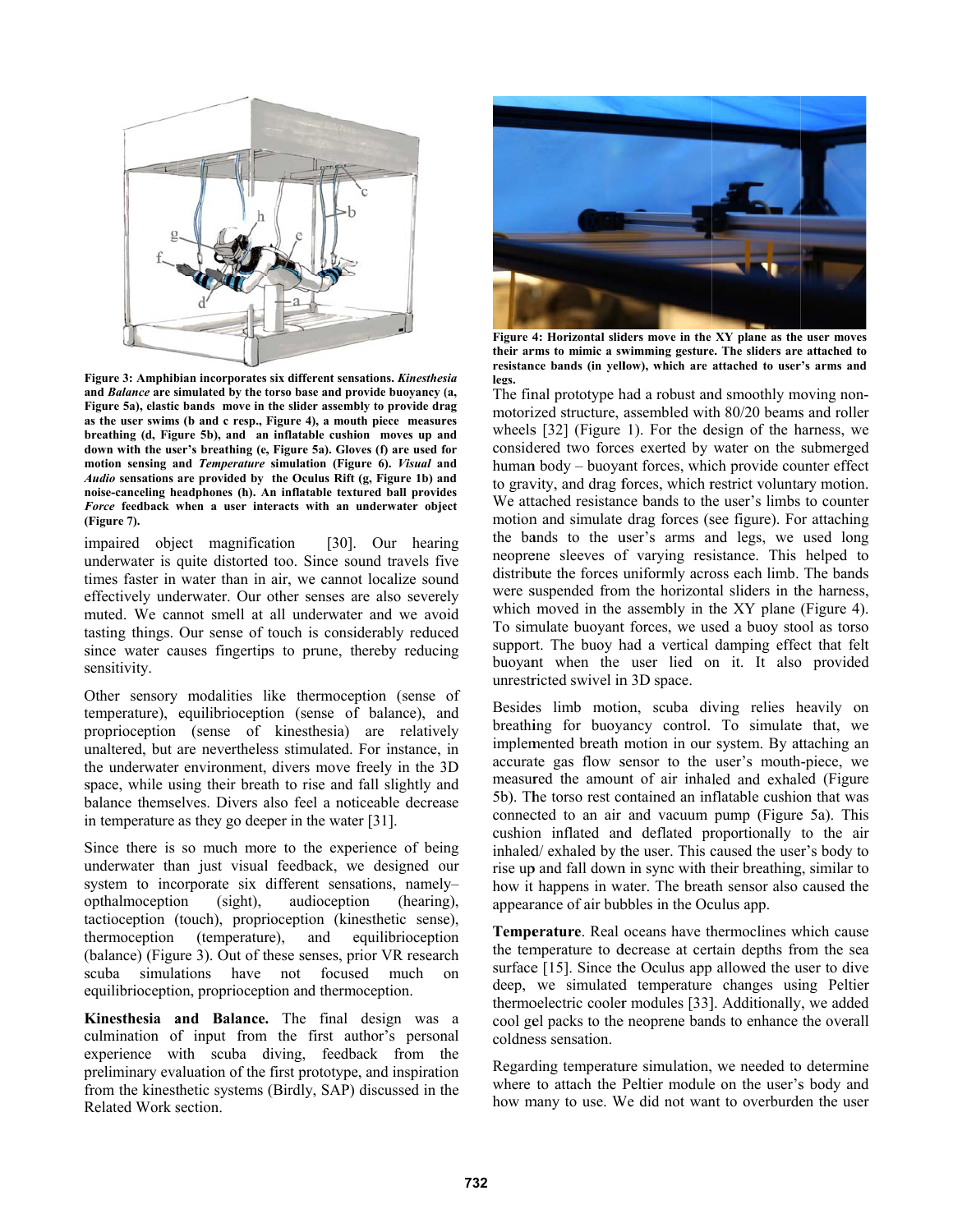

**F Figure 3: Amphib bian incorporates six different sens sations.** *Kinesthes* **a and** *Balance* **are s imulated by the t torso base and pr rovide buoyancy ( (a,** Figure 5a), elastic bands move in the slider assembly to provide drag as the user swims (b and c resp., Figure 4), a mouth piece measures breathing (d, Figure 5b), and an inflatable cushion moves up and down with the user's breathing (e, Figure 5a). Gloves (f) are used for motion sensing and *Temperature* simulation (Figure 6). *Visual* and Audio sensations are provided by the Oculus Rift (g, Figure 1b) and **noise-canceling headphones (h). An inflatable textured ball provides** Force feedback when a user interacts with an underwater object **(F Figure 7).** 

impaired object magnification [30]. underwater is quite distorted too. Since sound travels five times faster in water than in air, we cannot localize sound effectively underwater. Our other senses are also severely muted. We cannot smell at all underwater and we avoid tasting things. Our sense of touch is considerably reduced since water causes fingertips to prune, thereby reducing s sensitivity. Our hearing

Other sensory modalities like thermoception (sense of temperature), equilibrioception (sense of balance), and proprioception (sense of kinesthesia) are relatively unaltered, but are nevertheless stimulated. For instance, in the underwater environment, divers move freely in the 3D space, while using their breath to rise and fall slightly and balance themselves. Divers also feel a noticeable decrease in temperature as they go deeper in the water [31].

Since there is so much more to the experience of being underwater than just visual feedback, we designed our system to incorporate six different sensations, namelyo opthalmoceptio tactioception (touch), proprioception (kinesthetic sense), th hermoception (balance) (Figure 3). Out of these senses, prior VR research scuba simulations have not focused much o equilibrioception, proprioception and thermoception.  $(sight)$ , (temperatur audioceptio re), and equilibrioception on (hearing), on

Kinesthesia and Balance. The final design was a culmination of input from the first author's personal experience with scuba diving, feedback from the preliminary evaluation of the first prototype, and inspiration from the kinesthetic systems (Birdly, SAP) discussed in the R Related Work s section.



Figure 4: Horizontal sliders move in the XY plane as the user moves **their ar rms to mimic a sw wimming gesture e. The sliders are e attached to** *sia* **<b>i** *egs.* **<b>i legs.** *i ia ia ia ia ia ia ia ia ia ia ia ia ia ia ia ia ia ia ia ia ia ia ia ia ia ia i* 

The final prototype had a robust and smoothly moving nonmotorized structure, assembled with 80/20 beams and roller wheels [32] (Figure 1). For the design of the harness, we considered two forces exerted by water on the submerged human body - buoyant forces, which provide counter effect to gravity, and drag forces, which restrict voluntary motion. We attached resistance bands to the user's limbs to counter motion and simulate drag forces (see figure). For attaching the bands to the user's arms and legs, we used long neoprene sleeves of varying resistance. This helped to distribute the forces uniformly across each limb. The bands were suspended from the horizontal sliders in the harness, which moved in the assembly in the XY plane (Figure 4). To simulate buoyant forces, we used a buoy stool as torso support. The buoy had a vertical damping effect that felt buoyant when the user lied on it. It also provided unrestricted swivel in 3D space.

Besides limb motion, scuba diving relies heavily on breathing for buoyancy control. To simulate that, we implemented breath motion in our system. By attaching an accurate gas flow sensor to the user's mouth-piece, we measured the amount of air inhaled and exhaled (Figure 5b). The torso rest contained an inflatable cushion that was connected to an air and vacuum pump (Figure 5a). This cushion inflated and deflated proportionally to the air inhaled/ exhaled by the user. This caused the user's body to rise up and fall down in sync with their breathing, similar to how it happens in water. The breath sensor also caused the appearance of air bubbles in the Oculus app.

Temperature. Real oceans have thermoclines which cause the temperature to decrease at certain depths from the sea surface [15]. Since the Oculus app allowed the user to dive deep, we simulated temperature changes using Peltier thermoelectric cooler modules [33]. Additionally, we added cool gel packs to the neoprene bands to enhance the overall coldne ess sensation.

Regarding temperature simulation, we needed to determine where to attach the Peltier module on the user's body and how many to use. We did not want to overburden the user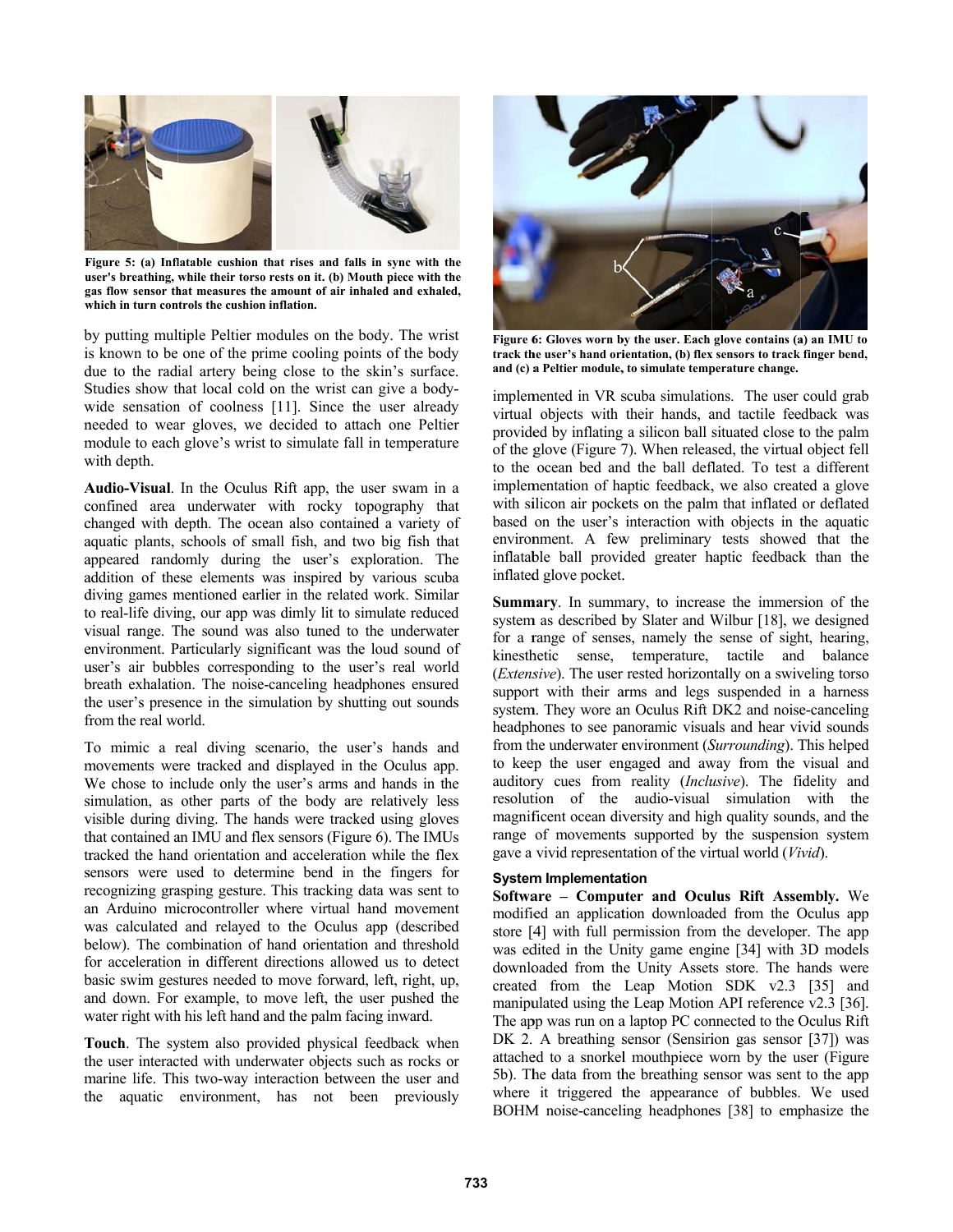

Figure 5: (a) Inflatable cushion that rises and falls in sync with the **u user's breathing, while their torso rests on it. (b) M Mouth piece with t the** gas flow sensor that measures the amount of air inhaled and exhaled, which in turn controls the cushion inflation.

by putting multiple Peltier modules on the body. The wrist is known to be one of the prime cooling points of the body due to the radial artery being close to the skin's surface. Studies show that local cold on the wrist can give a bodywide sensation of coolness [11]. Since the user already needed to wear gloves, we decided to attach one Peltier module to each glove's wrist to simulate fall in temperature w with depth.

Audio-Visual. In the Oculus Rift app, the user swam in a confined area underwater with rocky topography that changed with depth. The ocean also contained a variety of aquatic plants, schools of small fish, and two big fish that appeared randomly during the user's exploration. The addition of these elements was inspired by various scuba diving games mentioned earlier in the related work. Similar to real-life diving, our app was dimly lit to simulate reduced visual range. The sound was also tuned to the underwater environment. Particularly significant was the loud sound of user's air bubbles corresponding to the user's real world breath exhalation. The noise-canceling headphones ensured the user's presence in the simulation by shutting out sounds from the real world.

To mimic a real diving scenario, the user's hands and movements were tracked and displayed in the Oculus app. We chose to include only the user's arms and hands in the simulation, as other parts of the body are relatively less visible during diving. The hands were tracked using gloves that contained an IMU and flex sensors (Figure 6). The IMUs tracked the hand orientation and acceleration while the flex sensors were used to determine bend in the fingers for recognizing grasping gesture. This tracking data was sent to an Arduino microcontroller where virtual hand movement w was calculated and relayed to the Oculus s app (describ ed below). The combination of hand orientation and threshold for acceleration in different directions allowed us to detect basic swim gestures needed to move forward, left, right, up, and down. For example, to move left, the user pushed the water right with his left hand and the palm facing inward.

Touch. The system also provided physical feedback when the user interacted with underwater objects such as rocks or marine life. This two-way interaction between the user and the aquatic environment, has not been previously



**Figure 6 6: Gloves worn b by the user. Each glove contains (a a) an IMU to track th he user's hand ori ientation, (b) flex x sensors to track finger bend,** and (c) a Peltier module, to simulate temperature change.

implemented in VR scuba simulations. The user could grab virtual objects with their hands, and tactile feedback was provided by inflating a silicon ball situated close to the palm of the glove (Figure 7). When released, the virtual object fell to the ocean bed and the ball deflated. To test a different implementation of haptic feedback, we also created a glove with silicon air pockets on the palm that inflated or deflated based on the user's interaction with objects in the aquatic environment. A few preliminary tests showed that the inflatable ball provided greater haptic feedback than the inflated glove pocket.

Summary. In summary, to increase the immersion of the system as described by Slater and Wilbur [18], we designed for a range of senses, namely the sense of sight, hearing, kinesthetic sense, temperature, tactile and balance (*Extensive*). The user rested horizontally on a swiveling torso support with their arms and legs suspended in a harness system. They wore an Oculus Rift DK2 and noise-canceling headphones to see panoramic visuals and hear vivid sounds from the underwater environment (*Surrounding*). This helped to keep the user engaged and away from the visual and auditory cues from reality (*Inclusive*). The fidelity and resolution of the audio-visual simulation with the magnificent ocean diversity and high quality sounds, and the range of movements supported by the suspension system gave a vivid representation of the virtual world (*Vivid*).

# **System Implementation**

**Software – Computer and Oculus Rift Assembly.** We modified an application downloaded from the Oculus app store [4] with full permission from the developer. The app was edited in the Unity game engine [34] with 3D models downloaded from the Unity Assets store. The hands were created d from the Leap Motion n SDK v2.3 [35] and manipulated using the Leap Motion API reference v2.3 [36]. The app was run on a laptop PC connected to the Oculus Rift DK 2. A breathing sensor (Sensirion gas sensor [37]) was attached to a snorkel mouthpiece worn by the user (Figure 5b). The data from the breathing sensor was sent to the app where it triggered the appearance of bubbles. We used BOHM noise-canceling headphones [38] to emphasize the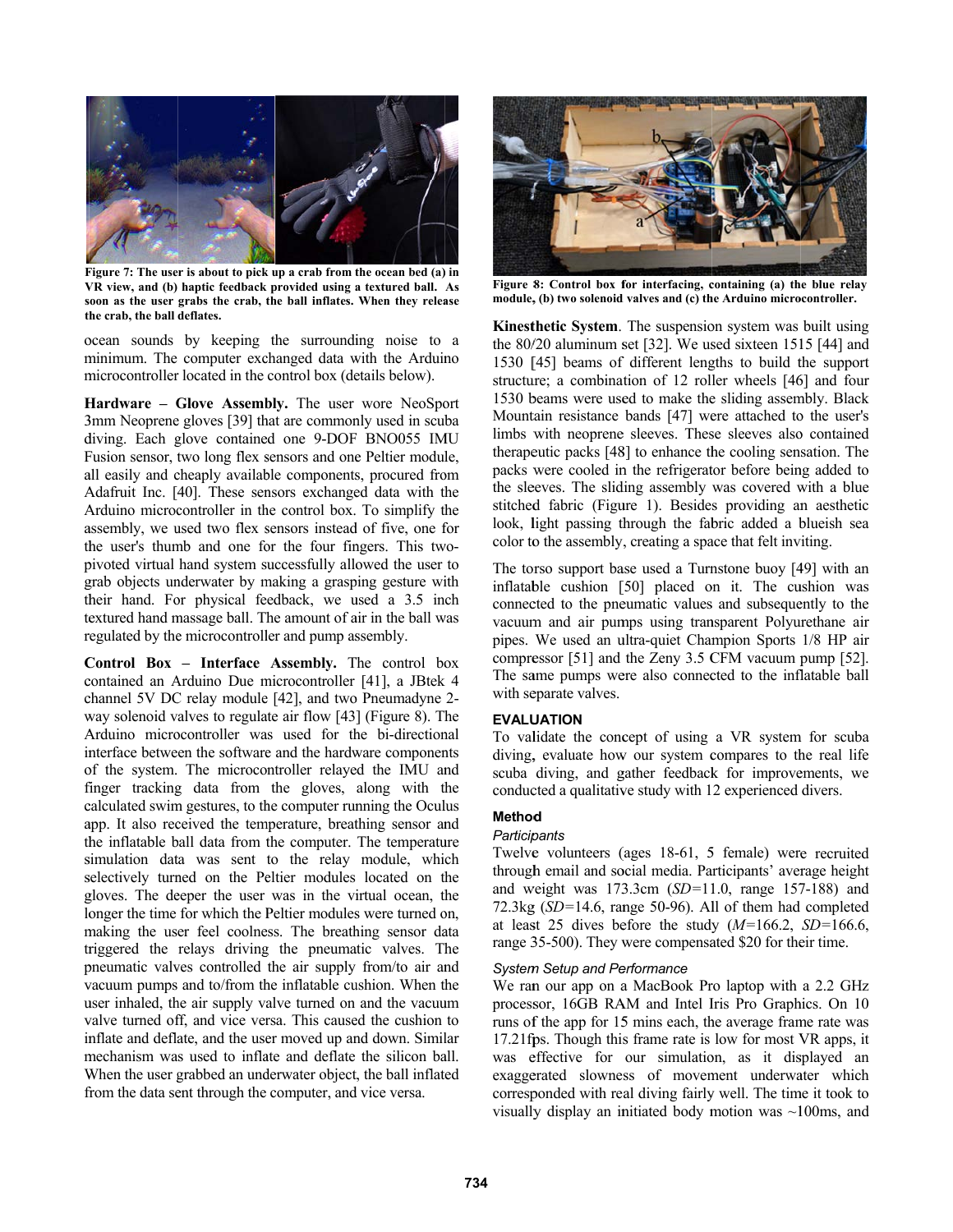

Figure 7: The user is about to pick up a crab from the ocean bed (a) in **V VR view, and (b) haptic feedback provided using a a textured ball. As s soon as the user grabs the crab, t the ball inflates. When they relea ase t he crab, the ball deflates.** 

ocean sounds by keeping the surrounding noise to a minimum. The computer exchanged data with the Arduino microcontroller located in the control box (details below).

Hardware - Glove Assembly. The user wore NeoSport 3mm Neoprene gloves [39] that are commonly used in scuba diving. Each glove contained one 9-DOF BNO055 IMU Fusion sensor, two long flex sensors and one Peltier module, all easily and cheaply available components, procured from Adafruit Inc. [40]. These sensors exchanged data with the Arduino microcontroller in the control box. To simplify the assembly, we used two flex sensors instead of five, one for the user's thumb and one for the four fingers. This twopivoted virtual hand system successfully allowed the user to grab objects underwater by making a grasping gesture with their hand. For physical feedback, we used a 3.5 inch textured hand massage ball. The amount of air in the ball was regulated by the microcontroller and pump assembly.

**Control Box – Interface Assembly.** The control box contained an Arduino Due microcontroller [41], a JBtek 4 channel 5V DC relay module [42], and two Pneumadyne 2way solenoid valves to regulate air flow [43] (Figure 8). The Arduino microcontroller was used for the bi-directional interface between the software and the hardware components of the system. The microcontroller relayed the IMU and finger tracking data from the gloves, along with the calculated swim gestures, to the computer running the Oculus app. It also received the temperature, breathing sensor and the inflatable ball data from the computer. The temperature simulation data was sent to the relay module, which selectively turned on the Peltier modules located on the gloves. The deeper the user was in the virtual ocean, the longer the time for which the Peltier modules were turned on, making the user feel coolness. The breathing sensor data triggered the relays driving the pneumatic valves. The pneumatic valves controlled the air supply from/to air and vacuum pumps and to/from the inflatable cushion. When the user inhaled, the air supply valve turned on and the vacuum valve turned off, and vice versa. This caused the cushion to inflate and deflate, and the user moved up and down. Similar mechanism was used to inflate and deflate the silicon ball. When the user grabbed an underwater object, the ball inflated from the data sent through the computer, and vice versa.



Figure 8: Control box for interfacing, containing (a) the blue relay module, (b) two solenoid valves and (c) the Arduino microcontroller.

Kinesthetic System. The suspension system was built using the 80/20 aluminum set [32]. We used sixteen 1515 [44] and 1530 [45] beams of different lengths to build the support structure; a combination of 12 roller wheels [46] and four 1530 beams were used to make the sliding assembly. Black Mountain resistance bands [47] were attached to the user's limbs with neoprene sleeves. These sleeves also contained therapeutic packs [48] to enhance the cooling sensation. The packs were cooled in the refrigerator before being added to the sleeves. The sliding assembly was covered with a blue stitched fabric (Figure 1). Besides providing an aesthetic look, light passing through the fabric added a blueish sea color to the assembly, creating a space that felt inviting.

The torso support base used a Turnstone buoy [49] with an inflatable cushion [50] placed on it. The cushion was connected to the pneumatic values and subsequently to the vacuum and air pumps using transparent Polyurethane air pipes. We used an ultra-quiet Champion Sports 1/8 HP air compressor [51] and the Zeny 3.5 CFM vacuum pump [52]. The same pumps were also connected to the inflatable ball with separate valves.

# **EVALU UATION**

To validate the concept of using a VR system for scuba diving, evaluate how our system compares to the real life scuba diving, and gather feedback for improvements, we conducted a qualitative study with 12 experienced divers.

# **Method d**

#### *Particip pants*

Twelve volunteers (ages 18-61, 5 female) were recruited through email and social media. Participants' average height and w weight was 173 3.3cm (*SD=*11 1.0, range 157 7-188) and 72.3kg (SD=14.6, range 50-96). All of them had completed at least 25 dives before the study  $(M=166.2, SD=166.6,$ range 35-500). They were compensated \$20 for their time.

#### **System Setup and Performance**

We ran our app on a MacBook Pro laptop with a 2.2 GHz processor, 16GB RAM and Intel Iris Pro Graphics. On 10 runs of the app for 15 mins each, the average frame rate was 17.21 fps. Though this frame rate is low for most VR apps, it was effective for our simulation, as it displayed an exaggerated slowness of movement underwater which corresponded with real diving fairly well. The time it took to visually display an initiated body motion was ~100ms, and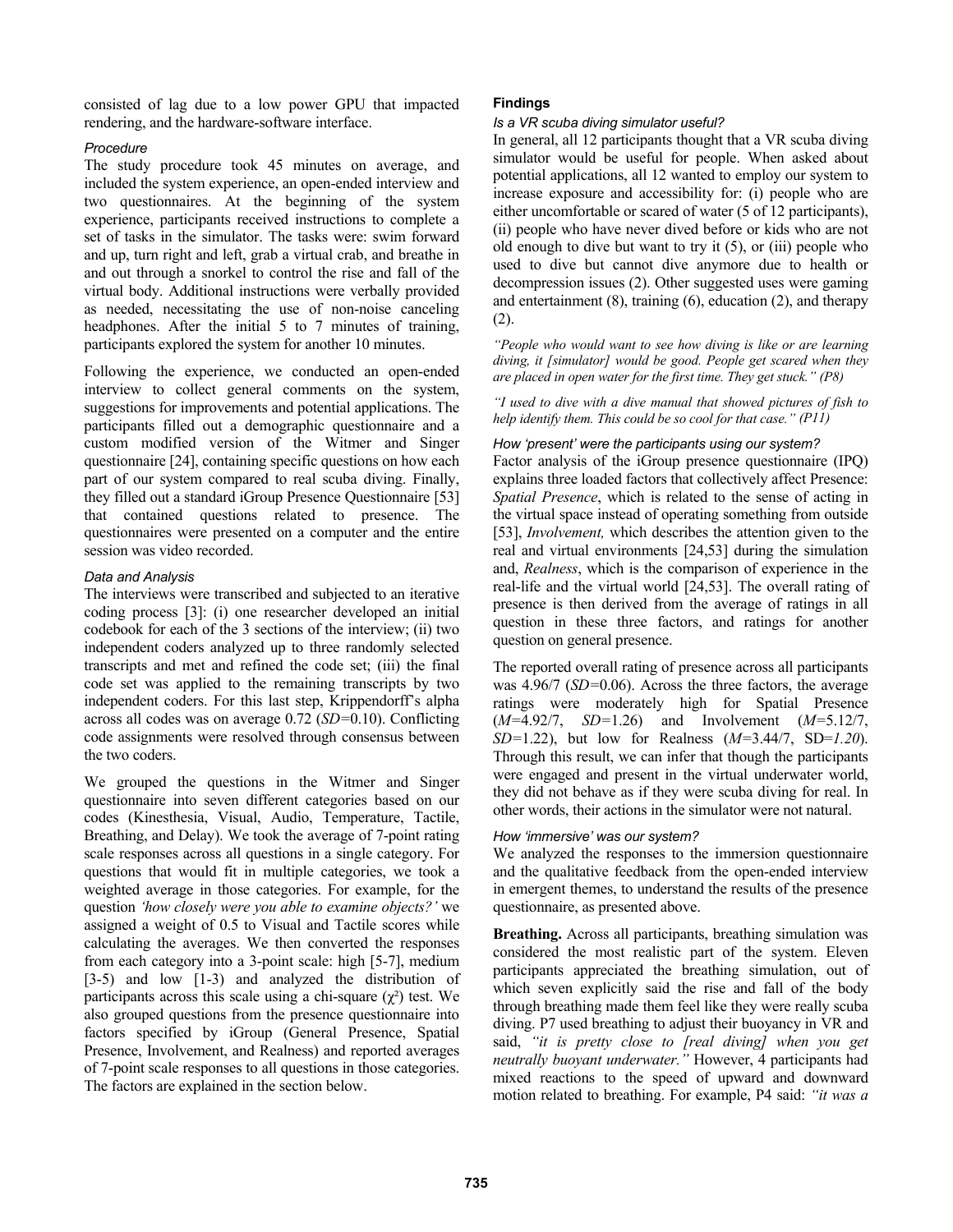consisted of lag due to a low power GPU that impacted rendering, and the hardware-software interface.

# *Procedure*

The study procedure took 45 minutes on average, and included the system experience, an open-ended interview and two questionnaires. At the beginning of the system experience, participants received instructions to complete a set of tasks in the simulator. The tasks were: swim forward and up, turn right and left, grab a virtual crab, and breathe in and out through a snorkel to control the rise and fall of the virtual body. Additional instructions were verbally provided as needed, necessitating the use of non-noise canceling headphones. After the initial 5 to 7 minutes of training, participants explored the system for another 10 minutes.

Following the experience, we conducted an open-ended interview to collect general comments on the system, suggestions for improvements and potential applications. The participants filled out a demographic questionnaire and a custom modified version of the Witmer and Singer questionnaire [24], containing specific questions on how each part of our system compared to real scuba diving. Finally, they filled out a standard iGroup Presence Questionnaire [53] that contained questions related to presence. The questionnaires were presented on a computer and the entire session was video recorded.

# *Data and Analysis*

The interviews were transcribed and subjected to an iterative coding process [3]: (i) one researcher developed an initial codebook for each of the 3 sections of the interview; (ii) two independent coders analyzed up to three randomly selected transcripts and met and refined the code set; (iii) the final code set was applied to the remaining transcripts by two independent coders. For this last step, Krippendorff's alpha across all codes was on average 0.72 (*SD=*0.10). Conflicting code assignments were resolved through consensus between the two coders.

We grouped the questions in the Witmer and Singer questionnaire into seven different categories based on our codes (Kinesthesia, Visual, Audio, Temperature, Tactile, Breathing, and Delay). We took the average of 7-point rating scale responses across all questions in a single category. For questions that would fit in multiple categories, we took a weighted average in those categories. For example, for the question *'how closely were you able to examine objects?'* we assigned a weight of 0.5 to Visual and Tactile scores while calculating the averages. We then converted the responses from each category into a 3-point scale: high [5-7], medium [3-5) and low [1-3) and analyzed the distribution of participants across this scale using a chi-square  $(\gamma^2)$  test. We also grouped questions from the presence questionnaire into factors specified by iGroup (General Presence, Spatial Presence, Involvement, and Realness) and reported averages of 7-point scale responses to all questions in those categories. The factors are explained in the section below.

# **Findings**

# *Is a VR scuba diving simulator useful?*

In general, all 12 participants thought that a VR scuba diving simulator would be useful for people. When asked about potential applications, all 12 wanted to employ our system to increase exposure and accessibility for: (i) people who are either uncomfortable or scared of water (5 of 12 participants), (ii) people who have never dived before or kids who are not old enough to dive but want to try it (5), or (iii) people who used to dive but cannot dive anymore due to health or decompression issues (2). Other suggested uses were gaming and entertainment (8), training (6), education (2), and therapy  $(2).$ 

*"People who would want to see how diving is like or are learning diving, it [simulator] would be good. People get scared when they are placed in open water for the first time. They get stuck." (P8)* 

*"I used to dive with a dive manual that showed pictures of fish to help identify them. This could be so cool for that case." (P11)* 

# *How 'present' were the participants using our system?*

Factor analysis of the iGroup presence questionnaire (IPQ) explains three loaded factors that collectively affect Presence: *Spatial Presence*, which is related to the sense of acting in the virtual space instead of operating something from outside [53], *Involvement,* which describes the attention given to the real and virtual environments [24,53] during the simulation and, *Realness*, which is the comparison of experience in the real-life and the virtual world [24,53]. The overall rating of presence is then derived from the average of ratings in all question in these three factors, and ratings for another question on general presence.

The reported overall rating of presence across all participants was 4.96/7 (*SD=*0.06). Across the three factors, the average ratings were moderately high for Spatial Presence (*M=*4.92/7, *SD=*1.26) and Involvement (*M=*5.12/7, *SD=*1.22), but low for Realness (*M=*3.44/7, SD=*1.20*). Through this result, we can infer that though the participants were engaged and present in the virtual underwater world, they did not behave as if they were scuba diving for real. In other words, their actions in the simulator were not natural.

# *How 'immersive' was our system?*

We analyzed the responses to the immersion questionnaire and the qualitative feedback from the open-ended interview in emergent themes, to understand the results of the presence questionnaire, as presented above.

**Breathing.** Across all participants, breathing simulation was considered the most realistic part of the system. Eleven participants appreciated the breathing simulation, out of which seven explicitly said the rise and fall of the body through breathing made them feel like they were really scuba diving. P7 used breathing to adjust their buoyancy in VR and said, *"it is pretty close to [real diving] when you get neutrally buoyant underwater."* However, 4 participants had mixed reactions to the speed of upward and downward motion related to breathing. For example, P4 said: *"it was a*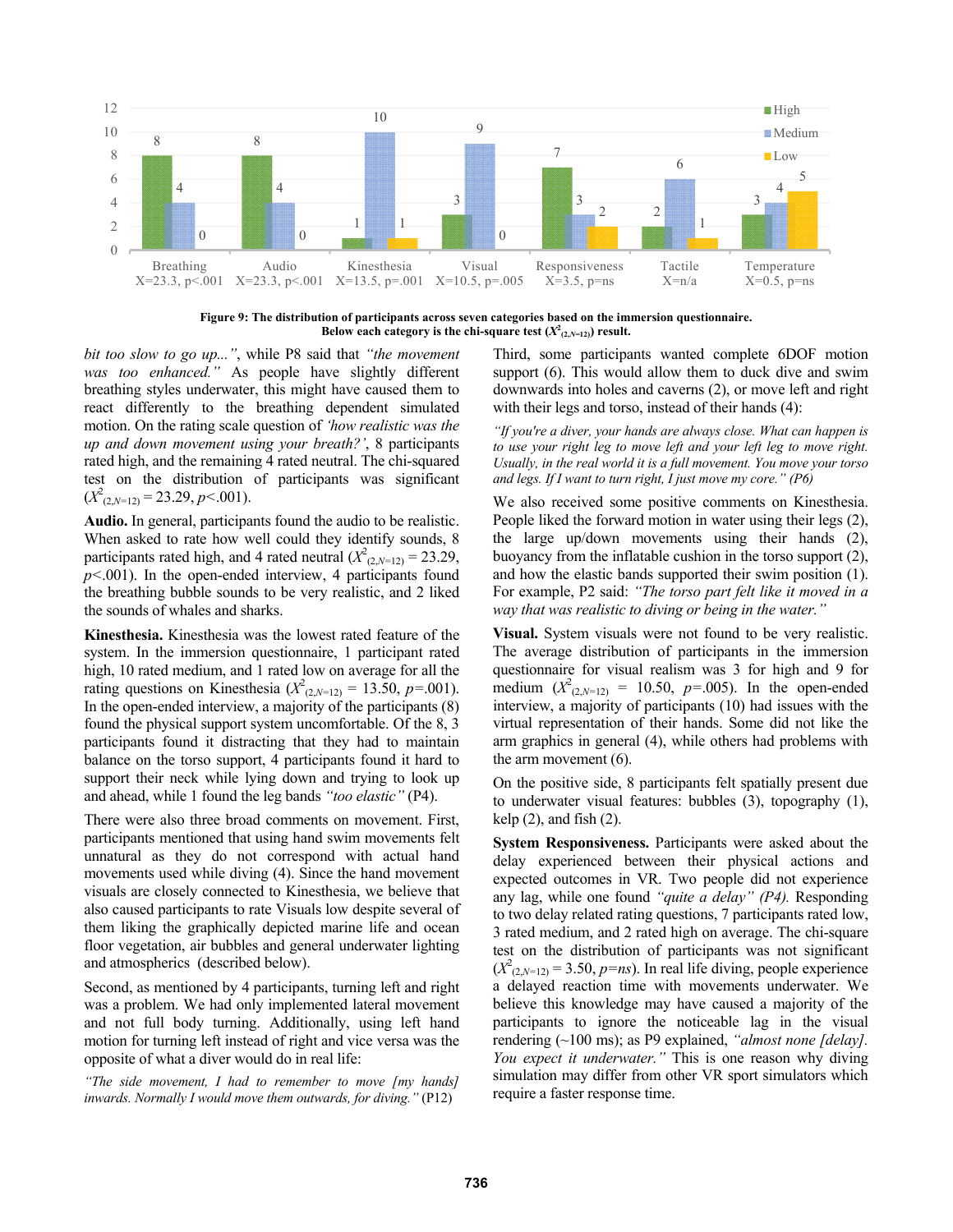

**Figure 9: The distribution of participants across seven categories based on the immersion questionnaire. Below each category is the chi-square test**  $(X^2_{(2,N=12)})$  **result.** 

*bit too slow to go up..."*, while P8 said that *"the movement was too enhanced."* As people have slightly different breathing styles underwater, this might have caused them to react differently to the breathing dependent simulated motion. On the rating scale question of *'how realistic was the up and down movement using your breath?'*, 8 participants rated high, and the remaining 4 rated neutral. The chi-squared test on the distribution of participants was significant  $(X^2_{(2,N=12)} = 23.29, p<.001).$ 

**Audio.** In general, participants found the audio to be realistic. When asked to rate how well could they identify sounds, 8 participants rated high, and 4 rated neutral  $(X^2_{(2,N=12)} = 23.29$ , *p<*.001). In the open-ended interview, 4 participants found the breathing bubble sounds to be very realistic, and 2 liked the sounds of whales and sharks.

**Kinesthesia.** Kinesthesia was the lowest rated feature of the system. In the immersion questionnaire, 1 participant rated high, 10 rated medium, and 1 rated low on average for all the rating questions on Kinesthesia ( $X^2_{(2,N=12)} = 13.50, p = .001$ ). In the open-ended interview, a majority of the participants (8) found the physical support system uncomfortable. Of the 8, 3 participants found it distracting that they had to maintain balance on the torso support, 4 participants found it hard to support their neck while lying down and trying to look up and ahead, while 1 found the leg bands *"too elastic"* (P4).

There were also three broad comments on movement. First, participants mentioned that using hand swim movements felt unnatural as they do not correspond with actual hand movements used while diving (4). Since the hand movement visuals are closely connected to Kinesthesia, we believe that also caused participants to rate Visuals low despite several of them liking the graphically depicted marine life and ocean floor vegetation, air bubbles and general underwater lighting and atmospherics (described below).

Second, as mentioned by 4 participants, turning left and right was a problem. We had only implemented lateral movement and not full body turning. Additionally, using left hand motion for turning left instead of right and vice versa was the opposite of what a diver would do in real life:

*"The side movement, I had to remember to move [my hands] inwards. Normally I would move them outwards, for diving."* (P12)

Third, some participants wanted complete 6DOF motion support (6). This would allow them to duck dive and swim downwards into holes and caverns (2), or move left and right with their legs and torso, instead of their hands (4):

*"If you're a diver, your hands are always close. What can happen is to use your right leg to move left and your left leg to move right. Usually, in the real world it is a full movement. You move your torso and legs. If I want to turn right, I just move my core." (P6)*

We also received some positive comments on Kinesthesia. People liked the forward motion in water using their legs (2), the large up/down movements using their hands (2), buoyancy from the inflatable cushion in the torso support (2), and how the elastic bands supported their swim position (1). For example, P2 said: *"The torso part felt like it moved in a way that was realistic to diving or being in the water."*

**Visual.** System visuals were not found to be very realistic. The average distribution of participants in the immersion questionnaire for visual realism was 3 for high and 9 for medium  $(X^2_{(2,N=12)} = 10.50, p=0.005)$ . In the open-ended interview, a majority of participants (10) had issues with the virtual representation of their hands. Some did not like the arm graphics in general (4), while others had problems with the arm movement (6).

On the positive side, 8 participants felt spatially present due to underwater visual features: bubbles (3), topography (1),  $kelp(2)$ , and fish  $(2)$ .

**System Responsiveness.** Participants were asked about the delay experienced between their physical actions and expected outcomes in VR. Two people did not experience any lag, while one found *"quite a delay" (P4).* Responding to two delay related rating questions, 7 participants rated low, 3 rated medium, and 2 rated high on average. The chi-square test on the distribution of participants was not significant  $(X^2_{(2,N=12)} = 3.50, p = ns)$ . In real life diving, people experience a delayed reaction time with movements underwater. We believe this knowledge may have caused a majority of the participants to ignore the noticeable lag in the visual rendering (~100 ms); as P9 explained, *"almost none [delay]. You expect it underwater."* This is one reason why diving simulation may differ from other VR sport simulators which require a faster response time.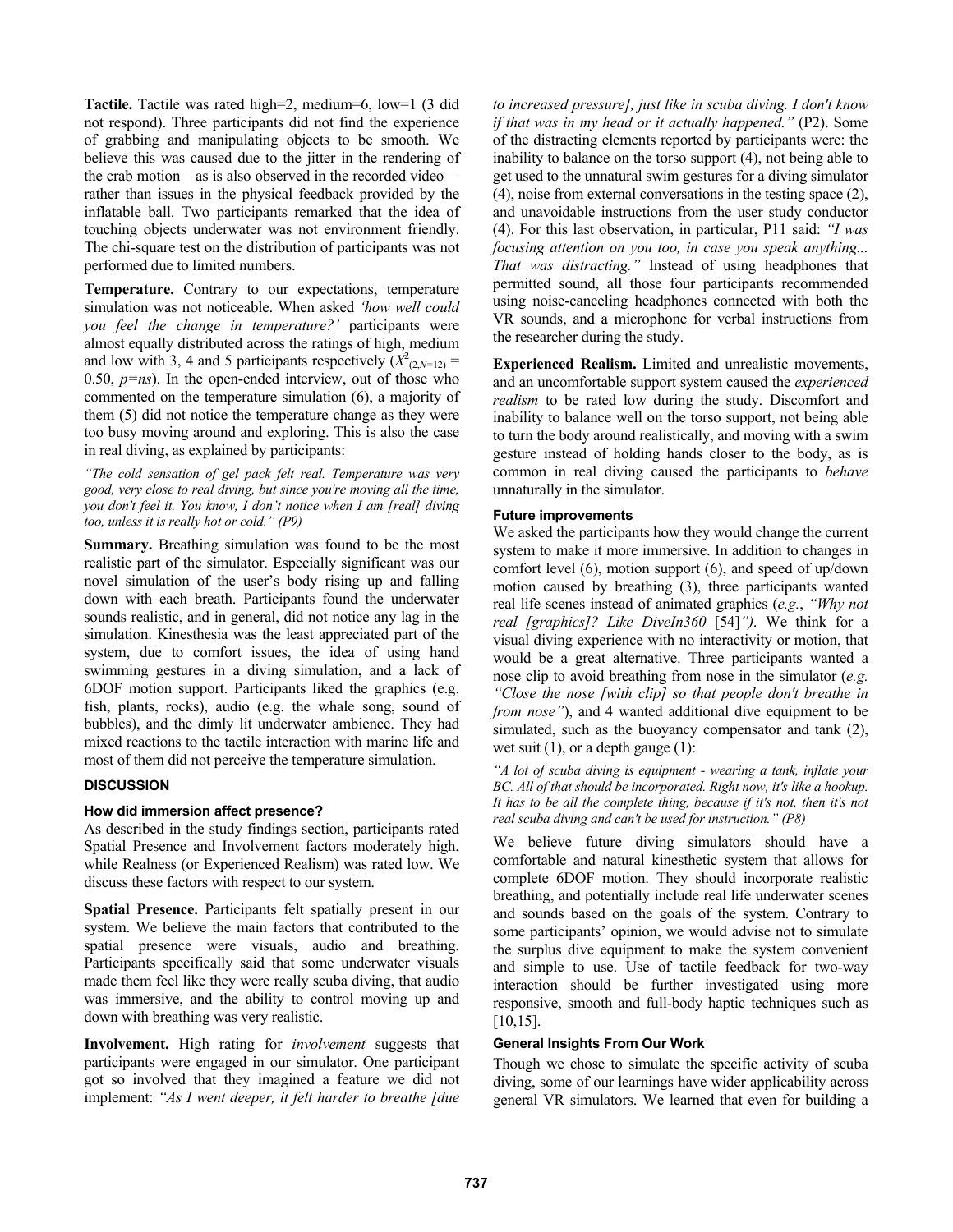**Tactile.** Tactile was rated high=2, medium=6, low=1 (3 did not respond). Three participants did not find the experience of grabbing and manipulating objects to be smooth. We believe this was caused due to the jitter in the rendering of the crab motion—as is also observed in the recorded video rather than issues in the physical feedback provided by the inflatable ball. Two participants remarked that the idea of touching objects underwater was not environment friendly. The chi-square test on the distribution of participants was not performed due to limited numbers.

**Temperature.** Contrary to our expectations, temperature simulation was not noticeable. When asked *'how well could you feel the change in temperature?'* participants were almost equally distributed across the ratings of high, medium and low with 3, 4 and 5 participants respectively  $(X^2_{(2,N=12)})$  = 0.50,  $p=ns$ ). In the open-ended interview, out of those who commented on the temperature simulation (6), a majority of them (5) did not notice the temperature change as they were too busy moving around and exploring. This is also the case in real diving, as explained by participants:

*"The cold sensation of gel pack felt real. Temperature was very good, very close to real diving, but since you're moving all the time, you don't feel it. You know, I don't notice when I am [real] diving too, unless it is really hot or cold." (P9)* 

**Summary.** Breathing simulation was found to be the most realistic part of the simulator. Especially significant was our novel simulation of the user's body rising up and falling down with each breath. Participants found the underwater sounds realistic, and in general, did not notice any lag in the simulation. Kinesthesia was the least appreciated part of the system, due to comfort issues, the idea of using hand swimming gestures in a diving simulation, and a lack of 6DOF motion support. Participants liked the graphics (e.g. fish, plants, rocks), audio (e.g. the whale song, sound of bubbles), and the dimly lit underwater ambience. They had mixed reactions to the tactile interaction with marine life and most of them did not perceive the temperature simulation.

# **DISCUSSION**

# **How did immersion affect presence?**

As described in the study findings section, participants rated Spatial Presence and Involvement factors moderately high, while Realness (or Experienced Realism) was rated low. We discuss these factors with respect to our system.

**Spatial Presence.** Participants felt spatially present in our system. We believe the main factors that contributed to the spatial presence were visuals, audio and breathing. Participants specifically said that some underwater visuals made them feel like they were really scuba diving, that audio was immersive, and the ability to control moving up and down with breathing was very realistic.

**Involvement.** High rating for *involvement* suggests that participants were engaged in our simulator. One participant got so involved that they imagined a feature we did not implement: *"As I went deeper, it felt harder to breathe [due*  *to increased pressure], just like in scuba diving. I don't know if that was in my head or it actually happened."* (P2). Some of the distracting elements reported by participants were: the inability to balance on the torso support (4), not being able to get used to the unnatural swim gestures for a diving simulator (4), noise from external conversations in the testing space (2), and unavoidable instructions from the user study conductor (4). For this last observation, in particular, P11 said: *"I was focusing attention on you too, in case you speak anything... That was distracting."* Instead of using headphones that permitted sound, all those four participants recommended using noise-canceling headphones connected with both the VR sounds, and a microphone for verbal instructions from the researcher during the study.

**Experienced Realism.** Limited and unrealistic movements, and an uncomfortable support system caused the *experienced realism* to be rated low during the study. Discomfort and inability to balance well on the torso support, not being able to turn the body around realistically, and moving with a swim gesture instead of holding hands closer to the body, as is common in real diving caused the participants to *behave* unnaturally in the simulator.

# **Future improvements**

We asked the participants how they would change the current system to make it more immersive. In addition to changes in comfort level (6), motion support (6), and speed of up/down motion caused by breathing (3), three participants wanted real life scenes instead of animated graphics (*e.g.*, *"Why not real [graphics]? Like DiveIn360* [54]*")*. We think for a visual diving experience with no interactivity or motion, that would be a great alternative. Three participants wanted a nose clip to avoid breathing from nose in the simulator (*e.g. "Close the nose [with clip] so that people don't breathe in from nose"*), and 4 wanted additional dive equipment to be simulated, such as the buoyancy compensator and tank (2), wet suit  $(1)$ , or a depth gauge  $(1)$ :

*"A lot of scuba diving is equipment - wearing a tank, inflate your BC. All of that should be incorporated. Right now, it's like a hookup. It has to be all the complete thing, because if it's not, then it's not real scuba diving and can't be used for instruction." (P8)* 

We believe future diving simulators should have a comfortable and natural kinesthetic system that allows for complete 6DOF motion. They should incorporate realistic breathing, and potentially include real life underwater scenes and sounds based on the goals of the system. Contrary to some participants' opinion, we would advise not to simulate the surplus dive equipment to make the system convenient and simple to use. Use of tactile feedback for two-way interaction should be further investigated using more responsive, smooth and full-body haptic techniques such as [10,15].

# **General Insights From Our Work**

Though we chose to simulate the specific activity of scuba diving, some of our learnings have wider applicability across general VR simulators. We learned that even for building a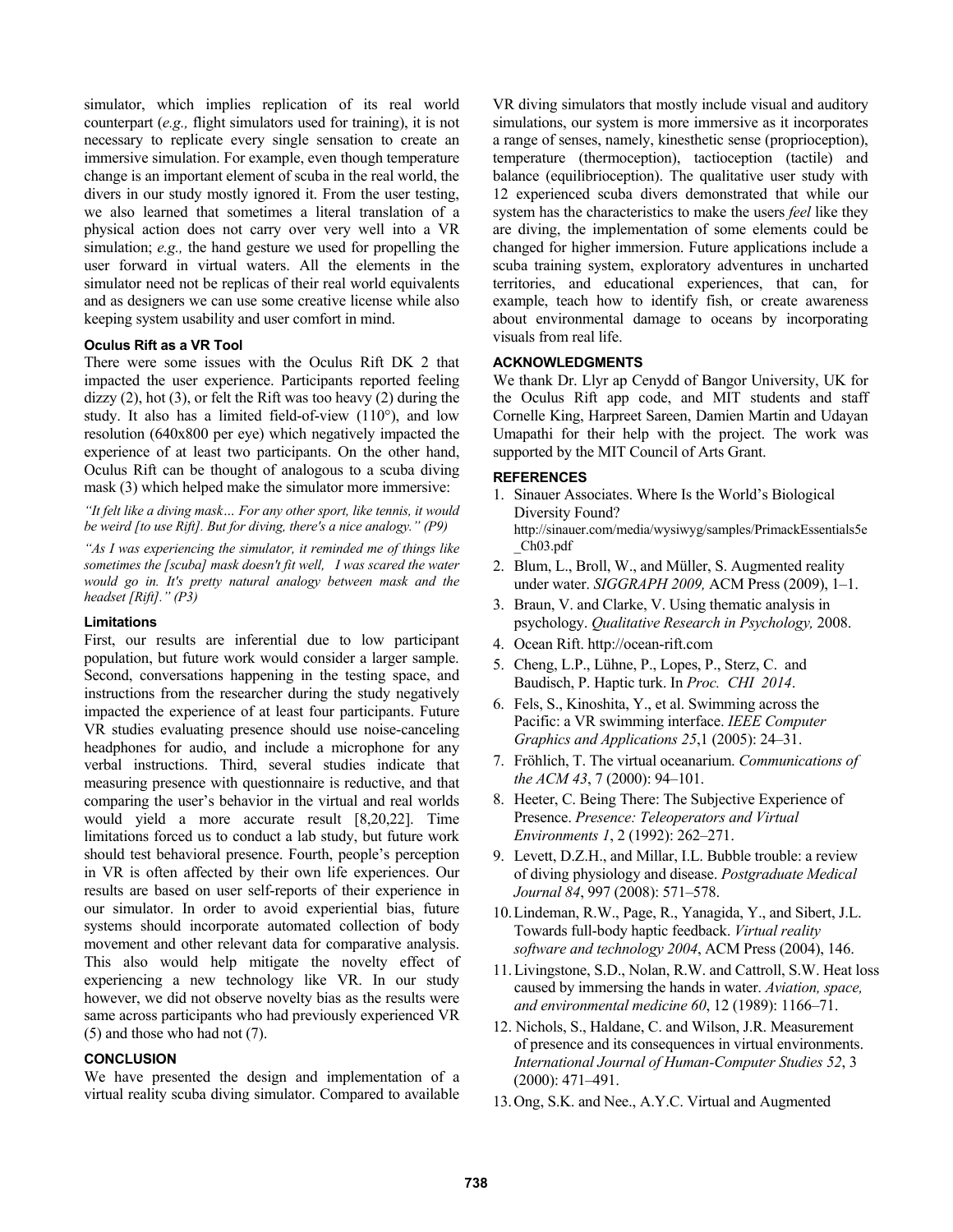simulator, which implies replication of its real world counterpart (*e.g.,* flight simulators used for training), it is not necessary to replicate every single sensation to create an immersive simulation. For example, even though temperature change is an important element of scuba in the real world, the divers in our study mostly ignored it. From the user testing, we also learned that sometimes a literal translation of a physical action does not carry over very well into a VR simulation; *e.g.,* the hand gesture we used for propelling the user forward in virtual waters. All the elements in the simulator need not be replicas of their real world equivalents and as designers we can use some creative license while also keeping system usability and user comfort in mind.

#### **Oculus Rift as a VR Tool**

There were some issues with the Oculus Rift DK 2 that impacted the user experience. Participants reported feeling dizzy (2), hot (3), or felt the Rift was too heavy (2) during the study. It also has a limited field-of-view (110°), and low resolution (640x800 per eye) which negatively impacted the experience of at least two participants. On the other hand, Oculus Rift can be thought of analogous to a scuba diving mask (3) which helped make the simulator more immersive:

*"It felt like a diving mask… For any other sport, like tennis, it would be weird [to use Rift]. But for diving, there's a nice analogy." (P9)* 

*"As I was experiencing the simulator, it reminded me of things like sometimes the [scuba] mask doesn't fit well, I was scared the water would go in. It's pretty natural analogy between mask and the headset [Rift]." (P3)* 

#### **Limitations**

First, our results are inferential due to low participant population, but future work would consider a larger sample. Second, conversations happening in the testing space, and instructions from the researcher during the study negatively impacted the experience of at least four participants. Future VR studies evaluating presence should use noise-canceling headphones for audio, and include a microphone for any verbal instructions. Third, several studies indicate that measuring presence with questionnaire is reductive, and that comparing the user's behavior in the virtual and real worlds would yield a more accurate result [8,20,22]. Time limitations forced us to conduct a lab study, but future work should test behavioral presence. Fourth, people's perception in VR is often affected by their own life experiences. Our results are based on user self-reports of their experience in our simulator. In order to avoid experiential bias, future systems should incorporate automated collection of body movement and other relevant data for comparative analysis. This also would help mitigate the novelty effect of experiencing a new technology like VR. In our study however, we did not observe novelty bias as the results were same across participants who had previously experienced VR (5) and those who had not (7).

#### **CONCLUSION**

We have presented the design and implementation of a virtual reality scuba diving simulator. Compared to available

VR diving simulators that mostly include visual and auditory simulations, our system is more immersive as it incorporates a range of senses, namely, kinesthetic sense (proprioception), temperature (thermoception), tactioception (tactile) and balance (equilibrioception). The qualitative user study with 12 experienced scuba divers demonstrated that while our system has the characteristics to make the users *feel* like they are diving, the implementation of some elements could be changed for higher immersion. Future applications include a scuba training system, exploratory adventures in uncharted territories, and educational experiences, that can, for example, teach how to identify fish, or create awareness about environmental damage to oceans by incorporating visuals from real life.

# **ACKNOWLEDGMENTS**

We thank Dr. Llyr ap Cenydd of Bangor University, UK for the Oculus Rift app code, and MIT students and staff Cornelle King, Harpreet Sareen, Damien Martin and Udayan Umapathi for their help with the project. The work was supported by the MIT Council of Arts Grant.

# **REFERENCES**

- 1. Sinauer Associates. Where Is the World's Biological Diversity Found? http://sinauer.com/media/wysiwyg/samples/PrimackEssentials5e \_Ch03.pdf
- 2. Blum, L., Broll, W., and Müller, S. Augmented reality under water. *SIGGRAPH 2009,* ACM Press (2009), 1–1.
- 3. Braun, V. and Clarke, V. Using thematic analysis in psychology. *Qualitative Research in Psychology,* 2008.
- 4. Ocean Rift. http://ocean-rift.com
- 5. Cheng, L.P., Lühne, P., Lopes, P., Sterz, C. and Baudisch, P. Haptic turk. In *Proc. CHI 2014*.
- 6. Fels, S., Kinoshita, Y., et al. Swimming across the Pacific: a VR swimming interface. *IEEE Computer Graphics and Applications 25*,1 (2005): 24–31.
- 7. Fröhlich, T. The virtual oceanarium. *Communications of the ACM 43*, 7 (2000): 94–101.
- 8. Heeter, C. Being There: The Subjective Experience of Presence. *Presence: Teleoperators and Virtual Environments 1*, 2 (1992): 262–271.
- 9. Levett, D.Z.H., and Millar, I.L. Bubble trouble: a review of diving physiology and disease. *Postgraduate Medical Journal 84*, 997 (2008): 571–578.
- 10. Lindeman, R.W., Page, R., Yanagida, Y., and Sibert, J.L. Towards full-body haptic feedback. *Virtual reality software and technology 2004*, ACM Press (2004), 146.
- 11. Livingstone, S.D., Nolan, R.W. and Cattroll, S.W. Heat loss caused by immersing the hands in water. *Aviation, space, and environmental medicine 60*, 12 (1989): 1166–71.
- 12. Nichols, S., Haldane, C. and Wilson, J.R. Measurement of presence and its consequences in virtual environments. *International Journal of Human-Computer Studies 52*, 3 (2000): 471–491.
- 13. Ong, S.K. and Nee., A.Y.C. Virtual and Augmented